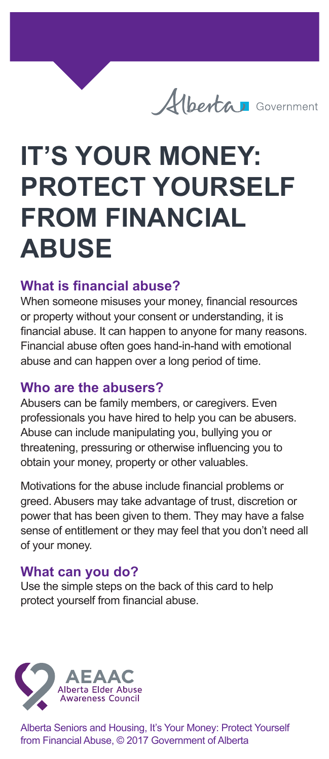

# **IT'S YOUR MONEY: PROTECT YOURSELF FROM FINANCIAL ABUSE**

### **What is financial abuse?**

When someone misuses your money, financial resources or property without your consent or understanding, it is financial abuse. It can happen to anyone for many reasons. Financial abuse often goes hand-in-hand with emotional abuse and can happen over a long period of time.

#### **Who are the abusers?**

Abusers can be family members, or caregivers. Even professionals you have hired to help you can be abusers. Abuse can include manipulating you, bullying you or threatening, pressuring or otherwise influencing you to obtain your money, property or other valuables.

Motivations for the abuse include financial problems or greed. Abusers may take advantage of trust, discretion or power that has been given to them. They may have a false sense of entitlement or they may feel that you don't need all of your money.

## **What can you do?**

Use the simple steps on the back of this card to help protect yourself from financial abuse.



Alberta Seniors and Housing, It's Your Money: Protect Yourself from Financial Abuse, © 2017 Government of Alberta